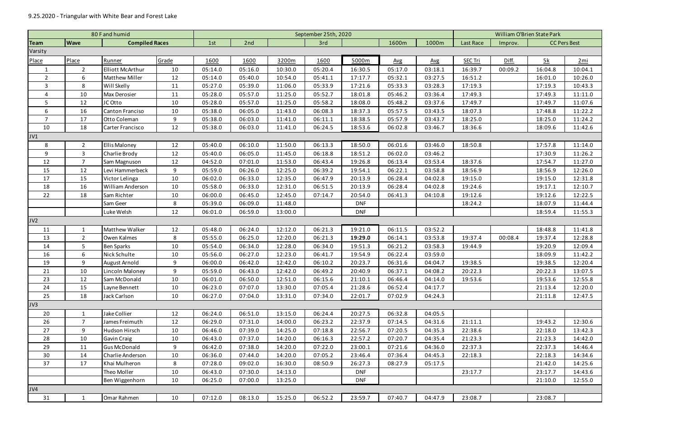|                |                                      | 80 F and humid          | September 25th, 2020 |                   |         |         |                |            |         |              | William O'Brien State Park     |         |         |         |
|----------------|--------------------------------------|-------------------------|----------------------|-------------------|---------|---------|----------------|------------|---------|--------------|--------------------------------|---------|---------|---------|
| Team           | <b>Compiled Races</b><br><b>Wave</b> |                         |                      | 1st<br>2nd<br>3rd |         |         | 1600m<br>1000m |            |         | Last Race    | <b>CC Pers Best</b><br>Improv. |         |         |         |
| Varsity        |                                      |                         |                      |                   |         |         |                |            |         |              |                                |         |         |         |
| Place          | Place                                | Runner                  | Grade                | 1600              | 1600    | 3200m   | 1600           | 5000m      | Avg     | $\Delta v$ g | <b>SEC Tri</b>                 | Diff.   | 5k      | 2mi     |
| $\mathbf{1}$   | $\overline{2}$                       | <b>Elliott McArthur</b> | 10                   | 05:14.0           | 05:16.0 | 10:30.0 | 05:20.4        | 16:30.5    | 05:17.0 | 03:18.1      | 16:39.7                        | 00:09.2 | 16:04.8 | 10:04.1 |
| $\overline{2}$ | 6                                    | <b>Matthew Miller</b>   | 12                   | 05:14.0           | 05:40.0 | 10:54.0 | 05:41.1        | 17:17.7    | 05:32.1 | 03:27.5      | 16:51.2                        |         | 16:01.0 | 10:26.0 |
| $\mathbf{3}$   | 8                                    | Will Skelly             | 11                   | 05:27.0           | 05:39.0 | 11:06.0 | 05:33.9        | 17:21.6    | 05:33.3 | 03:28.3      | 17:19.3                        |         | 17:19.3 | 10:43.3 |
| $\overline{a}$ | 10                                   | <b>Max Derosier</b>     | 11                   | 05:28.0           | 05:57.0 | 11:25.0 | 05:52.7        | 18:01.8    | 05:46.2 | 03:36.4      | 17:49.3                        |         | 17:49.3 | 11:11.0 |
| 5              | 12                                   | JC Otto                 | 10                   | 05:28.0           | 05:57.0 | 11:25.0 | 05:58.2        | 18:08.0    | 05:48.2 | 03:37.6      | 17:49.7                        |         | 17:49.7 | 11:07.6 |
| 6              | 16                                   | Canton Franciso         | 10                   | 05:38.0           | 06:05.0 | 11:43.0 | 06:08.3        | 18:37.3    | 05:57.5 | 03:43.5      | 18:07.3                        |         | 17:48.8 | 11:22.2 |
| $\overline{7}$ | 17                                   | Otto Coleman            | 9                    | 05:38.0           | 06:03.0 | 11:41.0 | 06:11.1        | 18:38.5    | 05:57.9 | 03:43.7      | 18:25.0                        |         | 18:25.0 | 11:24.2 |
| 10             | 18                                   | Carter Francisco        | 12                   | 05:38.0           | 06:03.0 | 11:41.0 | 06:24.5        | 18:53.6    | 06:02.8 | 03:46.7      | 18:36.6                        |         | 18:09.6 | 11:42.6 |
| JV1            |                                      |                         |                      |                   |         |         |                |            |         |              |                                |         |         |         |
| 8              | $\overline{2}$                       | <b>Ellis Maloney</b>    | 12                   | 05:40.0           | 06:10.0 | 11:50.0 | 06:13.3        | 18:50.0    | 06:01.6 | 03:46.0      | 18:50.8                        |         | 17:57.8 | 11:14.0 |
| 9              | 3                                    | Charlie Brody           | 12                   | 05:40.0           | 06:05.0 | 11:45.0 | 06:18.8        | 18:51.2    | 06:02.0 | 03:46.2      |                                |         | 17:30.9 | 11:26.2 |
| 12             | $\overline{7}$                       | Sam Magnuson            | 12                   | 04:52.0           | 07:01.0 | 11:53.0 | 06:43.4        | 19:26.8    | 06:13.4 | 03:53.4      | 18:37.6                        |         | 17:54.7 | 11:27.0 |
| 15             | 12                                   | Levi Hammerbeck         | 9                    | 05:59.0           | 06:26.0 | 12:25.0 | 06:39.2        | 19:54.1    | 06:22.1 | 03:58.8      | 18:56.9                        |         | 18:56.9 | 12:26.0 |
| 17             | 15                                   | Victor Lelinga          | 10                   | 06:02.0           | 06:33.0 | 12:35.0 | 06:47.9        | 20:13.9    | 06:28.4 | 04:02.8      | 19:15.0                        |         | 19:15.0 | 12:31.8 |
| 18             | 16                                   | William Anderson        | 10                   | 05:58.0           | 06:33.0 | 12:31.0 | 06:51.5        | 20:13.9    | 06:28.4 | 04:02.8      | 19:24.6                        |         | 19:17.1 | 12:10.7 |
| 22             | 18                                   | Sam Richter             | 10                   | 06:00.0           | 06:45.0 | 12:45.0 | 07:14.7        | 20:54.0    | 06:41.3 | 04:10.8      | 19:12.6                        |         | 19:12.6 | 12:22.5 |
|                |                                      | Sam Geer                | 8                    | 05:39.0           | 06:09.0 | 11:48.0 |                | <b>DNF</b> |         |              | 18:24.2                        |         | 18:07.9 | 11:44.4 |
|                |                                      | Luke Welsh              | 12                   | 06:01.0           | 06:59.0 | 13:00.0 |                | <b>DNF</b> |         |              |                                |         | 18:59.4 | 11:55.3 |
| JV2            |                                      |                         |                      |                   |         |         |                |            |         |              |                                |         |         |         |
| 11             | 1                                    | Matthew Walker          | 12                   | 05:48.0           | 06:24.0 | 12:12.0 | 06:21.3        | 19:21.0    | 06:11.5 | 03:52.2      |                                |         | 18:48.8 | 11:41.8 |
| 13             | $2^{\circ}$                          | Owen Kalmes             | 8                    | 05:55.0           | 06:25.0 | 12:20.0 | 06:21.3        | 19:29.0    | 06:14.1 | 03:53.8      | 19:37.4                        | 00:08.4 | 19:37.4 | 12:28.8 |
| 14             | 5                                    | <b>Ben Sparks</b>       | 10                   | 05:54.0           | 06:34.0 | 12:28.0 | 06:34.0        | 19:51.3    | 06:21.2 | 03:58.3      | 19:44.9                        |         | 19:20.9 | 12:09.4 |
| 16             | 6                                    | Nick Schulte            | 10                   | 05:56.0           | 06:27.0 | 12:23.0 | 06:41.7        | 19:54.9    | 06:22.4 | 03:59.0      |                                |         | 18:09.9 | 11:42.2 |
| 19             | 9                                    | August Arnold           | 9                    | 06:00.0           | 06:42.0 | 12:42.0 | 06:10.2        | 20:23.7    | 06:31.6 | 04:04.7      | 19:38.5                        |         | 19:38.5 | 12:20.4 |
| 21             | 10                                   | Lincoln Maloney         | 9                    | 05:59.0           | 06:43.0 | 12:42.0 | 06:49.2        | 20:40.9    | 06:37.1 | 04:08.2      | 20:22.3                        |         | 20:22.3 | 13:07.5 |
| 23             | 12                                   | Sam McDonald            | 10                   | 06:01.0           | 06:50.0 | 12:51.0 | 06:15.6        | 21:10.1    | 06:46.4 | 04:14.0      | 19:53.6                        |         | 19:53.6 | 12:55.8 |
| 24             | 15                                   | Layne Bennett           | 10                   | 06:23.0           | 07:07.0 | 13:30.0 | 07:05.4        | 21:28.6    | 06:52.4 | 04:17.7      |                                |         | 21:13.4 | 12:20.0 |
| 25             | 18                                   | Jack Carlson            | 10                   | 06:27.0           | 07:04.0 | 13:31.0 | 07:34.0        | 22:01.7    | 07:02.9 | 04:24.3      |                                |         | 21:11.8 | 12:47.5 |
| JV3            |                                      |                         |                      |                   |         |         |                |            |         |              |                                |         |         |         |
| 20             | $\mathbf{1}$                         | Jake Collier            | 12                   | 06:24.0           | 06:51.0 | 13:15.0 | 06:24.4        | 20:27.5    | 06:32.8 | 04:05.5      |                                |         |         |         |
| 26             | $\overline{7}$                       | James Freimuth          | 12                   | 06:29.0           | 07:31.0 | 14:00.0 | 06:23.2        | 22:37.9    | 07:14.5 | 04:31.6      | 21:11.1                        |         | 19:43.2 | 12:30.6 |
| 27             | 9                                    | Hudson Hirsch           | 10                   | 06:46.0           | 07:39.0 | 14:25.0 | 07:18.8        | 22:56.7    | 07:20.5 | 04:35.3      | 22:38.6                        |         | 22:18.0 | 13:42.3 |
| 28             | 10                                   | Gavin Craig             | 10                   | 06:43.0           | 07:37.0 | 14:20.0 | 06:16.3        | 22:57.2    | 07:20.7 | 04:35.4      | 21:23.3                        |         | 21:23.3 | 14:42.0 |
| 29             | 11                                   | <b>Gus McDonald</b>     | 9                    | 06:42.0           | 07:38.0 | 14:20.0 | 07:22.0        | 23:00.1    | 07:21.6 | 04:36.0      | 22:37.3                        |         | 22:37.3 | 14:46.4 |
| 30             | 14                                   | Charlie Anderson        | 10                   | 06:36.0           | 07:44.0 | 14:20.0 | 07:05.2        | 23:46.4    | 07:36.4 | 04:45.3      | 22:18.3                        |         | 22:18.3 | 14:34.6 |
| 37             | 17                                   | Khai Mulheron           | 8                    | 07:28.0           | 09:02.0 | 16:30.0 | 08:50.9        | 26:27.3    | 08:27.9 | 05:17.5      |                                |         | 21:42.0 | 14:25.6 |
|                |                                      | Theo Moller             | 10                   | 06:43.0           | 07:30.0 | 14:13.0 |                | <b>DNF</b> |         |              | 23:17.7                        |         | 23:17.7 | 14:43.6 |
|                |                                      | Ben Wiggenhorn          | 10                   | 06:25.0           | 07:00.0 | 13:25.0 |                | <b>DNF</b> |         |              |                                |         | 21:10.0 | 12:55.0 |
| JV4            |                                      |                         |                      |                   |         |         |                |            |         |              |                                |         |         |         |
| 31             | $\mathbf{1}$                         | Omar Rahmen             | 10                   | 07:12.0           | 08:13.0 | 15:25.0 | 06:52.2        | 23:59.7    | 07:40.7 | 04:47.9      | 23:08.7                        |         | 23:08.7 |         |